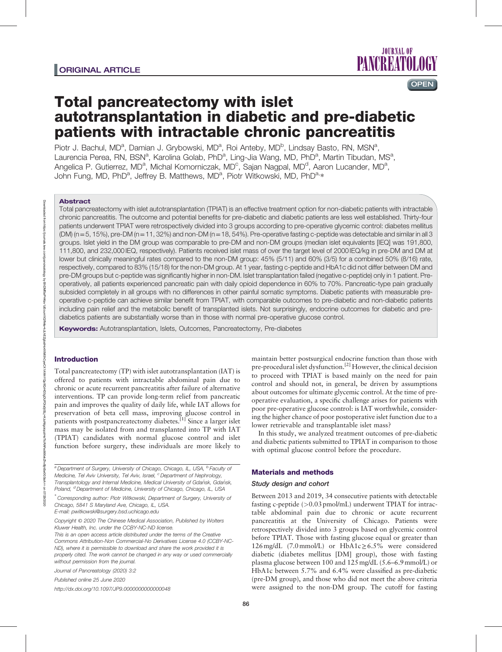

# Total pancreatectomy with islet autotransplantation in diabetic and pre-diabetic patients with intractable chronic pancreatitis

Piotr J. Bachul, MD<sup>a</sup>, Damian J. Grybowski, MD<sup>a</sup>, Roi Anteby, MD<sup>b</sup>, Lindsay Basto, RN, MSN<sup>a</sup>, Laurencia Perea, RN, BSN<sup>a</sup>, Karolina Golab, PhD<sup>a</sup>, Ling-Jia Wang, MD, PhD<sup>a</sup>, Martin Tibudan, MS<sup>a</sup>, Angelica P. Gutierrez, MD<sup>a</sup>, Michal Komorniczak, MD<sup>c</sup>, Sajan Nagpal, MD<sup>d</sup>, Aaron Lucander, MD<sup>a</sup>, John Fung, MD, PhD<sup>a</sup>, Jeffrey B. Matthews, MD<sup>a</sup>, Piotr Witkowski, MD, PhD<sup>a,</sup>\*

# Abstract

Downloaded from

Total pancreatectomy with islet autotransplantation (TPIAT) is an effective treatment option for non-diabetic patients with intractable chronic pancreatitis. The outcome and potential benefits for pre-diabetic and diabetic patients are less well established. Thirty-four patients underwent TPIAT were retrospectively divided into 3 groups according to pre-operative glycemic control: diabetes mellitus  $(DM)$  (n=5, 15%), pre-DM (n=11, 32%) and non-DM (n=18, 54%). Pre-operative fasting c-peptide was detectable and similar in all 3 groups. Islet yield in the DM group was comparable to pre-DM and non-DM groups (median islet equivalents [IEQ] was 191,800, 111,800, and 232,000 IEQ, respectively). Patients received islet mass of over the target level of 2000 IEQ/kg in pre-DM and DM at lower but clinically meaningful rates compared to the non-DM group: 45% (5/11) and 60% (3/5) for a combined 50% (8/16) rate, respectively, compared to 83% (15/18) for the non-DM group. At 1 year, fasting c-peptide and HbA1c did not differ between DM and pre-DM groups but c-peptide was significantly higher in non-DM. Islet transplantation failed (negative c-peptide) only in 1 patient. Preoperatively, all patients experienced pancreatic pain with daily opioid dependence in 60% to 70%. Pancreatic-type pain gradually subsided completely in all groups with no differences in other painful somatic symptoms. Diabetic patients with measurable preoperative c-peptide can achieve similar benefit from TPIAT, with comparable outcomes to pre-diabetic and non-diabetic patients including pain relief and the metabolic benefit of transplanted islets. Not surprisingly, endocrine outcomes for diabetic and prediabetics patients are substantially worse than in those with normal pre-operative glucose control.

Keywords: Autotransplantation, Islets, Outcomes, Pancreatectomy, Pre-diabetes

# Introduction

Total pancreatectomy (TP) with islet autotransplantation (IAT) is offered to patients with intractable abdominal pain due to chronic or acute recurrent pancreatitis after failure of alternative interventions. TP can provide long-term relief from pancreatic pain and improves the quality of daily life, while IAT allows for preservation of beta cell mass, improving glucose control in patients with postpancreatectomy diabetes.<sup>[1]</sup> Since a larger islet mass may be isolated from and transplanted into TP with IAT (TPIAT) candidates with normal glucose control and islet function before surgery, these individuals are more likely to

 $a$ Department of Surgery, University of Chicago, Chicago, IL, USA,  $b$  Faculty of Medicine, Tel Aviv University, Tel Aviv, Israel, <sup>c</sup> Department of Nephrology, Transplantology and Internal Medicine, Medical University of Gdańsk, Gdańsk, Poland, <sup>d</sup>Department of Medicine, University of Chicago, Chicago, IL, USA

∗ Corresponding author: Piotr Witkowski, Department of Surgery, University of Chicago, 5841 S Maryland Ave, Chicago, IL, USA. E-mail: [pwitkowski@surgery.bsd.uchicago.edu](mailto:pwitkowski@surgery.bsd.uchicago.edu)

Copyright © 2020 The Chinese Medical Association, Published by Wolters Kluwer Health, Inc. under the CCBY-NC-ND license.

Journal of Pancreatology (2020) 3:2

Published online 25 June 2020

<http://dx.doi.org/10.1097/JP9.0000000000000048>

maintain better postsurgical endocrine function than those with pre-procedural islet dysfunction.<sup>[2]</sup> However, the clinical decision to proceed with TPIAT is based mainly on the need for pain control and should not, in general, be driven by assumptions about outcomes for ultimate glycemic control. At the time of preoperative evaluation, a specific challenge arises for patients with poor pre-operative glucose control: is IAT worthwhile, considering the higher chance of poor postoperative islet function due to a lower retrievable and transplantable islet mass?

In this study, we analyzed treatment outcomes of pre-diabetic and diabetic patients submitted to TPIAT in comparison to those with optimal glucose control before the procedure.

## Materials and methods

## Study design and cohort

Between 2013 and 2019, 34 consecutive patients with detectable fasting c-peptide (>0.03 pmol/mL) underwent TPIAT for intractable abdominal pain due to chronic or acute recurrent pancreatitis at the University of Chicago. Patients were retrospectively divided into 3 groups based on glycemic control before TPIAT. Those with fasting glucose equal or greater than 126mg/dL (7.0mmol/L) or HbA1c≥6.5% were considered diabetic (diabetes mellitus [DM] group), those with fasting plasma glucose between 100 and 125mg/dL (5.6–6.9mmol/L) or HbA1c between 5.7% and 6.4% were classified as pre-diabetic (pre-DM group), and those who did not meet the above criteria were assigned to the non-DM group. The cutoff for fasting

This is an open access article distributed under the terms of the [Creative](http://creativecommons.org/licenses/by-nc-nd/4.0) [Commons Attribution-Non Commercial-No Derivatives License 4.0](http://creativecommons.org/licenses/by-nc-nd/4.0) (CCBY-NC-ND), where it is permissible to download and share the work provided it is properly cited. The work cannot be changed in any way or used commercially without permission from the journal.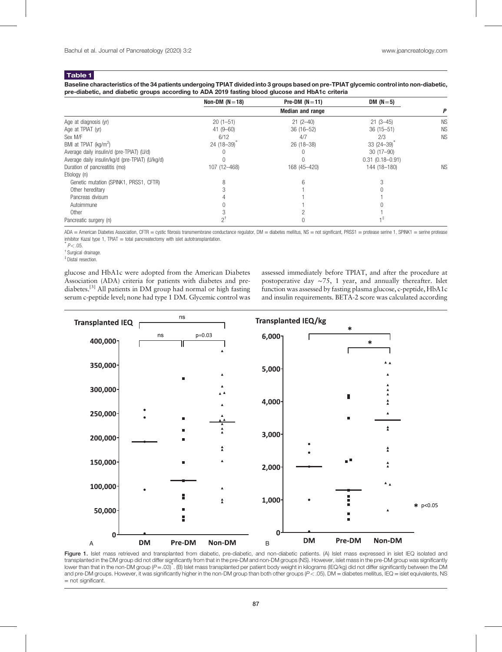## Table 1

Baseline characteristics of the 34 patients undergoing TPIAT divided into 3 groups based on pre-TPIAT glycemic control into non-diabetic, pre-diabetic, and diabetic groups according to ADA 2019 fasting blood glucose and HbA1c criteria

|                                                 | Non-DM $(N=18)$         | Pre-DM $(N=11)$ | DM $(N=5)$          |           |
|-------------------------------------------------|-------------------------|-----------------|---------------------|-----------|
|                                                 | <b>Median and range</b> |                 |                     |           |
| Age at diagnosis (yr)                           | $20(1-51)$              | $21(2-40)$      | $21(3-45)$          | <b>NS</b> |
| Age at TPIAT (yr)                               | $41(9 - 60)$            | $36(16 - 52)$   | $36(15 - 51)$       | <b>NS</b> |
| Sex M/F                                         | 6/12                    | 4/7             | 2/3                 | <b>NS</b> |
| BMI at TPIAT (kg/m <sup>2</sup> )               | $24(18-39)$             | $26(18-38)$     | $33(24-39)$         |           |
| Average daily insulin/d (pre-TPIAT) (U/d)       |                         |                 | $30(17-90)$         |           |
| Average daily insulin/kg/d (pre-TPIAT) (U/kg/d) |                         |                 | $0.31(0.18 - 0.91)$ |           |
| Duration of pancreatitis (mo)                   | 107 (12-468)            | 168 (45-420)    | 144 (18-180)        | <b>NS</b> |
| Etiology (n)                                    |                         |                 |                     |           |
| Genetic mutation (SPINK1, PRSS1, CFTR)          | 8                       |                 |                     |           |
| Other hereditary                                |                         |                 |                     |           |
| Pancreas divisum                                |                         |                 |                     |           |
| Autoimmune                                      |                         |                 |                     |           |
| Other                                           |                         |                 |                     |           |
| Pancreatic surgery (n)                          |                         |                 |                     |           |

ADA = American Diabetes Association, CFTR = cystic fibrosis transmembrane conductance regulator, DM = diabetes mellitus, NS = not significant, PRSS1 = protease serine 1, SPINK1 = serine protease inhibitor Kazal type 1, TPIAT = total pancreatectomy with islet autotransplantation.

 $P < .05$ 

† Surgical drainage.

‡ Distal resection.

glucose and HbA1c were adopted from the American Diabetes Association (ADA) criteria for patients with diabetes and prediabetes.[3] All patients in DM group had normal or high fasting serum c-peptide level; none had type 1 DM. Glycemic control was

assessed immediately before TPIAT, and after the procedure at postoperative day ∼75, 1 year, and annually thereafter. Islet function was assessed by fasting plasma glucose, c-peptide, HbA1c and insulin requirements. BETA-2 score was calculated according



Figure 1. Islet mass retrieved and transplanted from diabetic, pre-diabetic, and non-diabetic patients. (A) Islet mass expressed in islet IEQ isolated and transplanted in the DM group did not differ significantly from that in the pre-DM and non-DM groups (NS). However, islet mass in the pre-DM group was significantly lower than that in the non-DM group (P=.03)<sup>∗</sup> . (B) Islet mass transplanted per patient body weight in kilograms (IEQ/kg) did not differ significantly between the DM and pre-DM groups. However, it was significantly higher in the non-DM group than both other groups  $(P < .05)$ . DM = diabetes mellitus, IEQ = islet equivalents, NS = not significant.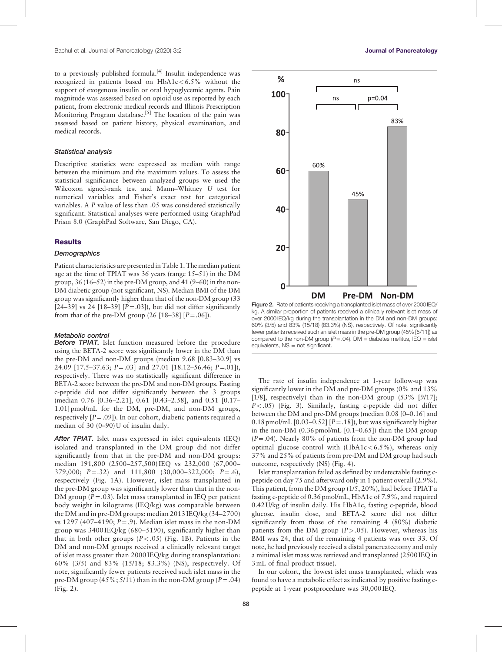to a previously published formula.<sup>[4]</sup> Insulin independence was recognized in patients based on  $HbA1c < 6.5%$  without the support of exogenous insulin or oral hypoglycemic agents. Pain magnitude was assessed based on opioid use as reported by each patient, from electronic medical records and Illinois Prescription Monitoring Program database.<sup>[5]</sup> The location of the pain was assessed based on patient history, physical examination, and medical records.

## Statistical analysis

Descriptive statistics were expressed as median with range between the minimum and the maximum values. To assess the statistical significance between analyzed groups we used the Wilcoxon signed-rank test and Mann–Whitney U test for numerical variables and Fisher's exact test for categorical variables. A P value of less than .05 was considered statistically significant. Statistical analyses were performed using GraphPad Prism 8.0 (GraphPad Software, San Diego, CA).

#### **Results**

## **Demographics**

Patient characteristics are presented in Table 1. The median patient age at the time of TPIAT was 36 years (range 15–51) in the DM group,  $36(16-52)$  in the pre-DM group, and  $41(9-60)$  in the non-DM diabetic group (not significant, NS). Median BMI of the DM group was significantly higher than that of the non-DM group (33 [24–39] vs 24 [18–39]  $[P=.03]$ ], but did not differ significantly from that of the pre-DM group  $(26 [18-38] [P=.06]).$ 

#### Metabolic control

Before TPIAT. Islet function measured before the procedure using the BETA-2 score was significantly lower in the DM than the pre-DM and non-DM groups (median 9.68 [0.83–30.9] vs 24.09 [17.5–37.63; P=.03] and 27.01 [18.12–56.46; P=.01]), respectively. There was no statistically significant difference in BETA-2 score between the pre-DM and non-DM groups. Fasting c-peptide did not differ significantly between the 3 groups (median 0.76 [0.36–2.21], 0.61 [0.43–2.58], and 0.51 [0.17– 1.01] pmol/mL for the DM, pre-DM, and non-DM groups, respectively  $[P=.09]$ ). In our cohort, diabetic patients required a median of 30 (0–90) U of insulin daily.

After TPIAT. Islet mass expressed in islet equivalents (IEQ) isolated and transplanted in the DM group did not differ significantly from that in the pre-DM and non-DM groups: median 191,800 (2500–257,500) IEQ vs 232,000 (67,000– 379,000; P=.32) and 111,800 (30,000–322,000; P=.6), respectively (Fig. 1A). However, islet mass transplanted in the pre-DM group was significantly lower than that in the non-DM group  $(P=.03)$ . Islet mass transplanted in IEQ per patient body weight in kilograms (IEQ/kg) was comparable between the DM and in pre-DM groups: median 2013 IEQ/kg (34–2700) vs 1297 (407–4190;  $P = .9$ ). Median islet mass in the non-DM group was 3400 IEQ/kg (680–5190), significantly higher than that in both other groups  $(P < .05)$  (Fig. 1B). Patients in the DM and non-DM groups received a clinically relevant target of islet mass greater than 2000 IEQ/kg during transplantation: 60% (3/5) and 83% (15/18; 83.3%) (NS), respectively. Of note, significantly fewer patients received such islet mass in the pre-DM group (45%;  $5/11$ ) than in the non-DM group ( $P = .04$ ) (Fig. 2).



Figure 2. Rate of patients receiving a transplanted islet mass of over 2000 IEQ/ kg. A similar proportion of patients received a clinically relevant islet mass of over 2000 IEQ/kg during the transplantation in the DM and non-DM groups: 60% (3/5) and 83% (15/18) (83.3%) (NS), respectively. Of note, significantly fewer patients received such an islet mass in the pre-DM group (45% [5/11]) as compared to the non-DM group  $(P=.04)$ . DM = diabetes mellitus, IEQ = islet equivalents, NS = not significant.

The rate of insulin independence at 1-year follow-up was significantly lower in the DM and pre-DM groups (0% and 13% [1/8], respectively) than in the non-DM group  $(53\%$  [9/17];  $P < .05$ ) (Fig. 3). Similarly, fasting c-peptide did not differ between the DM and pre-DM groups (median 0.08 [0–0.16] and 0.18 pmol/mL  $[0.03-0.52]$   $[P=.18]$ ), but was significantly higher in the non-DM (0.36 pmol/mL [0.1–0.65]) than the DM group  $(P=.04)$ . Nearly 80% of patients from the non-DM group had optimal glucose control with  $(HbA1c < 6.5\%)$ , whereas only 37% and 25% of patients from pre-DM and DM group had such outcome, respectively (NS) (Fig. 4).

Islet transplantation failed as defined by undetectable fasting cpeptide on day 75 and afterward only in 1 patient overall (2.9%). This patient, from the DM group (1/5, 20%), had before TPIAT a fasting c-peptide of 0.36 pmol/mL, HbA1c of 7.9%, and required 0.42 U/kg of insulin daily. His HbA1c, fasting c-peptide, blood glucose, insulin dose, and BETA-2 score did not differ significantly from those of the remaining 4 (80%) diabetic patients from the DM group  $(P > .05)$ . However, whereas his BMI was 24, that of the remaining 4 patients was over 33. Of note, he had previously received a distal pancreatectomy and only a minimal islet mass was retrieved and transplanted (2500 IEQ in 3mL of final product tissue).

In our cohort, the lowest islet mass transplanted, which was found to have a metabolic effect as indicated by positive fasting cpeptide at 1-year postprocedure was 30,000 IEQ.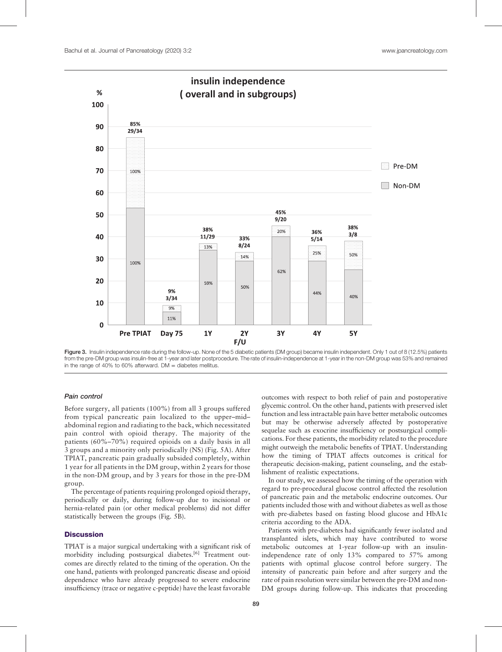

Figure 3. Insulin independence rate during the follow-up. None of the 5 diabetic patients (DM group) became insulin independent. Only 1 out of 8 (12.5%) patients from the pre-DM group was insulin-free at 1-year and later postprocedure. The rate of insulin-independence at 1-year in the non-DM group was 53% and remained in the range of 40% to 60% afterward.  $DM =$  diabetes mellitus.

## Pain control

Before surgery, all patients (100%) from all 3 groups suffered from typical pancreatic pain localized to the upper–mid– abdominal region and radiating to the back, which necessitated pain control with opioid therapy. The majority of the patients (60%–70%) required opioids on a daily basis in all 3 groups and a minority only periodically (NS) (Fig. 5A). After TPIAT, pancreatic pain gradually subsided completely, within 1 year for all patients in the DM group, within 2 years for those in the non-DM group, and by 3 years for those in the pre-DM group.

The percentage of patients requiring prolonged opioid therapy, periodically or daily, during follow-up due to incisional or hernia-related pain (or other medical problems) did not differ statistically between the groups (Fig. 5B).

# **Discussion**

TPIAT is a major surgical undertaking with a significant risk of morbidity including postsurgical diabetes.<sup>[6]</sup> Treatment outcomes are directly related to the timing of the operation. On the one hand, patients with prolonged pancreatic disease and opioid dependence who have already progressed to severe endocrine insufficiency (trace or negative c-peptide) have the least favorable outcomes with respect to both relief of pain and postoperative glycemic control. On the other hand, patients with preserved islet function and less intractable pain have better metabolic outcomes but may be otherwise adversely affected by postoperative sequelae such as exocrine insufficiency or postsurgical complications. For these patients, the morbidity related to the procedure might outweigh the metabolic benefits of TPIAT. Understanding how the timing of TPIAT affects outcomes is critical for therapeutic decision-making, patient counseling, and the establishment of realistic expectations.

In our study, we assessed how the timing of the operation with regard to pre-procedural glucose control affected the resolution of pancreatic pain and the metabolic endocrine outcomes. Our patients included those with and without diabetes as well as those with pre-diabetes based on fasting blood glucose and HbA1c criteria according to the ADA.

Patients with pre-diabetes had significantly fewer isolated and transplanted islets, which may have contributed to worse metabolic outcomes at 1-year follow-up with an insulinindependence rate of only 13% compared to 57% among patients with optimal glucose control before surgery. The intensity of pancreatic pain before and after surgery and the rate of pain resolution were similar between the pre-DM and non-DM groups during follow-up. This indicates that proceeding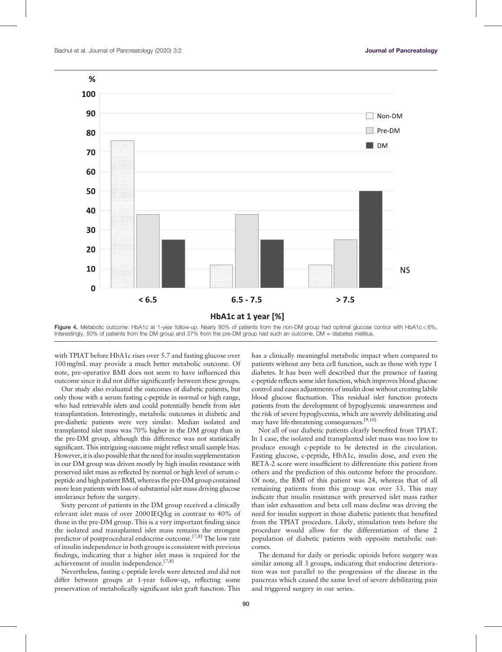

Figure 4. Metabolic outcome: HbA1c at 1-year follow-up. Nearly 80% of patients from the non-DM group had optimal glucose control with HbA1c<6%. Interestingly, 50% of patients from the DM group and 37% from the pre-DM group had such an outcome. DM = diabetes mellitus

with TPIAT before HbA1c rises over 5.7 and fasting glucose over 100mg/mL may provide a much better metabolic outcome. Of note, pre-operative BMI does not seem to have influenced this outcome since it did not differ significantly between these groups.

Our study also evaluated the outcomes of diabetic patients, but only those with a serum fasting c-peptide in normal or high range, who had retrievable islets and could potentially benefit from islet transplantation. Interestingly, metabolic outcomes in diabetic and pre-diabetic patients were very similar. Median isolated and transplanted islet mass was 70% higher in the DM group than in the pre-DM group, although this difference was not statistically significant. This intriguing outcome might reflect small sample bias. However, it is also possible that the need for insulin supplementation in our DM group was driven mostly by high insulin resistance with preserved islet mass as reflected by normal or high level of serum cpeptide and high patient BMI, whereas the pre-DM group contained more lean patients with loss of substantial islet mass driving glucose intolerance before the surgery.

Sixty percent of patients in the DM group received a clinically relevant islet mass of over 2000 IEQ/kg in contrast to 40% of those in the pre-DM group. This is a very important finding since the isolated and transplanted islet mass remains the strongest predictor of postprocedural endocrine outcome.[7,8] The low rate of insulin independence in both groups is consistent with previous findings, indicating that a higher islet mass is required for the achievement of insulin independence.<sup>[7,8]</sup>

Nevertheless, fasting c-peptide levels were detected and did not differ between groups at 1-year follow-up, reflecting some preservation of metabolically significant islet graft function. This has a clinically meaningful metabolic impact when compared to patients without any beta cell function, such as those with type 1 diabetes. It has been well described that the presence of fasting c-peptide reflects some islet function, which improves blood glucose control and eases adjustments of insulin dose without creating labile blood glucose fluctuation. This residual islet function protects patients from the development of hypoglycemic unawareness and the risk of severe hypoglycemia, which are severely debilitating and may have life-threatening consequences.<sup>[9,10]</sup>

Not all of our diabetic patients clearly benefited from TPIAT. In 1 case, the isolated and transplanted islet mass was too low to produce enough c-peptide to be detected in the circulation. Fasting glucose, c-peptide, HbA1c, insulin dose, and even the BETA-2 score were insufficient to differentiate this patient from others and the prediction of this outcome before the procedure. Of note, the BMI of this patient was 24, whereas that of all remaining patients from this group was over 33. This may indicate that insulin resistance with preserved islet mass rather than islet exhaustion and beta cell mass decline was driving the need for insulin support in those diabetic patients that benefited from the TPIAT procedure. Likely, stimulation tests before the procedure would allow for the differentiation of these 2 population of diabetic patients with opposite metabolic outcomes.

The demand for daily or periodic opioids before surgery was similar among all 3 groups, indicating that endocrine deterioration was not parallel to the progression of the disease in the pancreas which caused the same level of severe debilitating pain and triggered surgery in our series.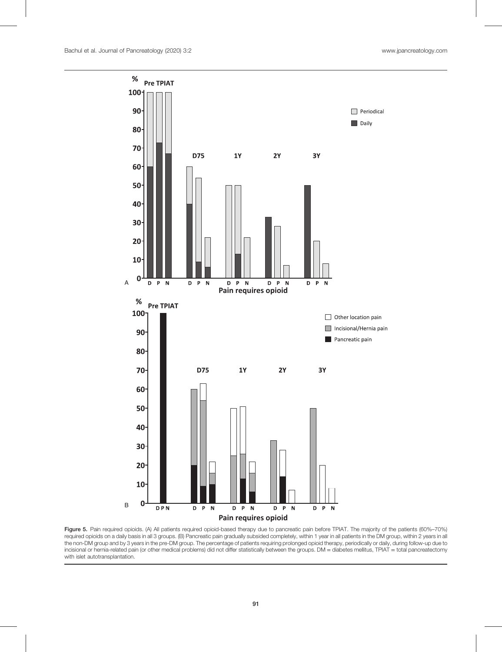

Figure 5. Pain required opioids. (A) All patients required opioid-based therapy due to pancreatic pain before TPIAT. The majority of the patients (60%–70%) required opioids on a daily basis in all 3 groups. (B) Pancreatic pain gradually subsided completely, within 1 year in all patients in the DM group, within 2 years in all the non-DM group and by 3 years in the pre-DM group. The percentage of patients requiring prolonged opioid therapy, periodically or daily, during follow-up due to incisional or hernia-related pain (or other medical problems) did not differ statistically between the groups. DM = diabetes mellitus, TPIAT = total pancreatectomy with islet autotransplantation.